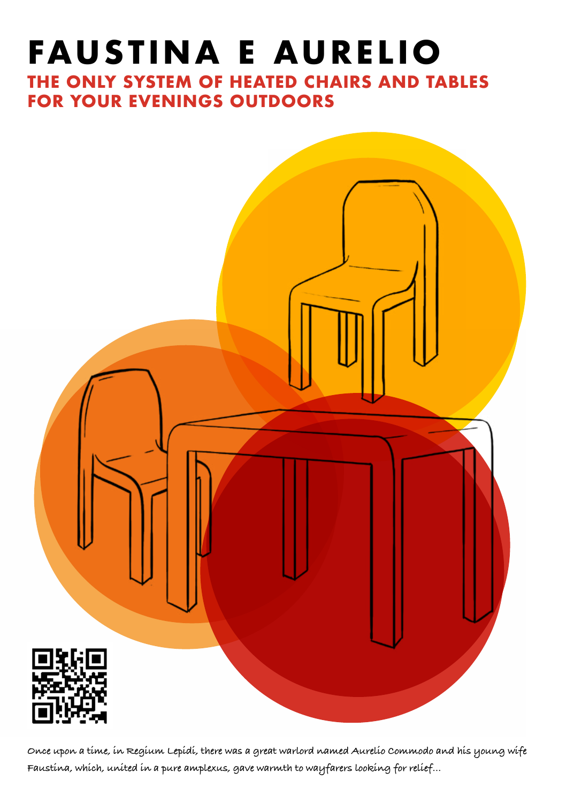# **FAUSTINA E AURELIO**

**THE ONLY SYSTEM OF HEATED CHAIRS AND TABLES FOR YOUR EVENINGS OUTDOORS**



**Once upon a time, in Regium Lepidi, there was a great warlord named Aurelio Commodo and his young wife Faustina, which, united in a pure amplexus, gave warmth to wayfarers looking for relief…**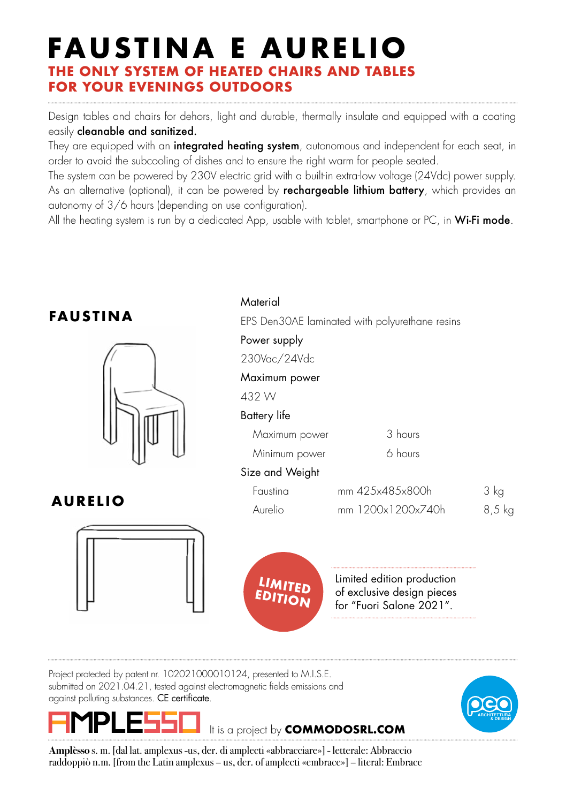## **FAUSTINA E AURELIO THE ONLY SYSTEM OF HEATED CHAIRS AND TABLES FOR YOUR EVENINGS OUTDOORS**

Design tables and chairs for dehors, light and durable, thermally insulate and equipped with a coating easily cleanable and sanitized.

They are equipped with an **integrated heating system**, autonomous and independent for each seat, in order to avoid the subcooling of dishes and to ensure the right warm for people seated.

The system can be powered by 230V electric arid with a built-in extra-low voltage (24Vdc) power supply. As an alternative (optional), it can be powered by **rechargeable lithium battery**, which provides an autonomy of 3/6 hours (depending on use configuration).

All the heating system is run by a dedicated App, usable with tablet, smartphone or PC, in  $W$ i-Fi mode.



It is a project by **COMMODOSRL.COM**

against polluting substances. CE certificate.



**Amplèsso** s. m. [dal lat. amplexus -us, der. di amplecti «abbracciare»] - letterale: Abbraccio raddoppiò n.m. [from the Latin amplexus – us, der. of amplecti «embrace»] – literal: Embrace